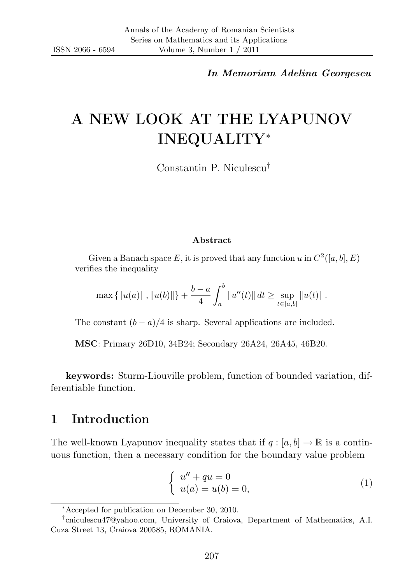In Memoriam Adelina Georgescu

# A NEW LOOK AT THE LYAPUNOV INEQUALITY<sup>∗</sup>

Constantin P. Niculescu†

#### Abstract

Given a Banach space E, it is proved that any function u in  $C^2([a, b], E)$ verifies the inequality

$$
\max \{ ||u(a)||, ||u(b)|| \} + \frac{b-a}{4} \int_a^b ||u''(t)|| dt \ge \sup_{t \in [a,b]} ||u(t)||.
$$

The constant  $(b - a)/4$  is sharp. Several applications are included.

MSC: Primary 26D10, 34B24; Secondary 26A24, 26A45, 46B20.

keywords: Sturm-Liouville problem, function of bounded variation, differentiable function.

## 1 Introduction

The well-known Lyapunov inequality states that if  $q : [a, b] \to \mathbb{R}$  is a continuous function, then a necessary condition for the boundary value problem

$$
\begin{cases}\n u'' + qu = 0 \\
 u(a) = u(b) = 0,\n\end{cases}
$$
\n(1)

<sup>∗</sup>Accepted for publication on December 30, 2010.

<sup>†</sup> cniculescu47@yahoo.com, University of Craiova, Department of Mathematics, A.I. Cuza Street 13, Craiova 200585, ROMANIA.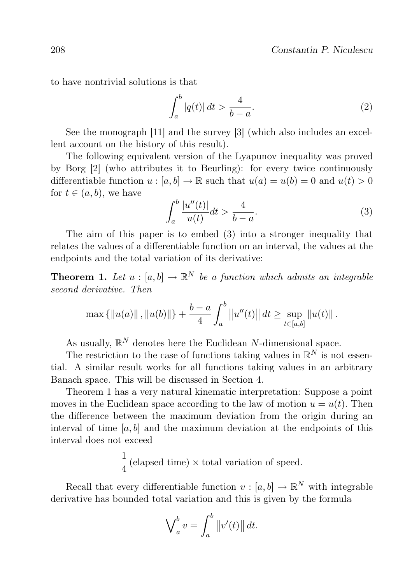to have nontrivial solutions is that

$$
\int_{a}^{b} |q(t)| dt > \frac{4}{b-a}.\tag{2}
$$

See the monograph [11] and the survey [3] (which also includes an excellent account on the history of this result).

The following equivalent version of the Lyapunov inequality was proved by Borg [2] (who attributes it to Beurling): for every twice continuously differentiable function  $u : [a, b] \to \mathbb{R}$  such that  $u(a) = u(b) = 0$  and  $u(t) > 0$ for  $t \in (a, b)$ , we have

$$
\int_{a}^{b} \frac{|u''(t)|}{u(t)} dt > \frac{4}{b-a}.\tag{3}
$$

The aim of this paper is to embed (3) into a stronger inequality that relates the values of a differentiable function on an interval, the values at the endpoints and the total variation of its derivative:

**Theorem 1.** Let  $u : [a, b] \to \mathbb{R}^N$  be a function which admits an integrable second derivative. Then

$$
\max \{ ||u(a)||, ||u(b)|| \} + \frac{b-a}{4} \int_a^b ||u''(t)|| dt \geq \sup_{t \in [a,b]} ||u(t)||.
$$

As usually,  $\mathbb{R}^N$  denotes here the Euclidean N-dimensional space.

The restriction to the case of functions taking values in  $\mathbb{R}^N$  is not essential. A similar result works for all functions taking values in an arbitrary Banach space. This will be discussed in Section 4.

Theorem 1 has a very natural kinematic interpretation: Suppose a point moves in the Euclidean space according to the law of motion  $u = u(t)$ . Then the difference between the maximum deviation from the origin during an interval of time  $[a, b]$  and the maximum deviation at the endpoints of this interval does not exceed

> 1  $\frac{1}{4}$  (elapsed time)  $\times$  total variation of speed.

Recall that every differentiable function  $v : [a, b] \to \mathbb{R}^N$  with integrable derivative has bounded total variation and this is given by the formula

$$
\bigvee_a^b v = \int_a^b \left\|v'(t)\right\| dt.
$$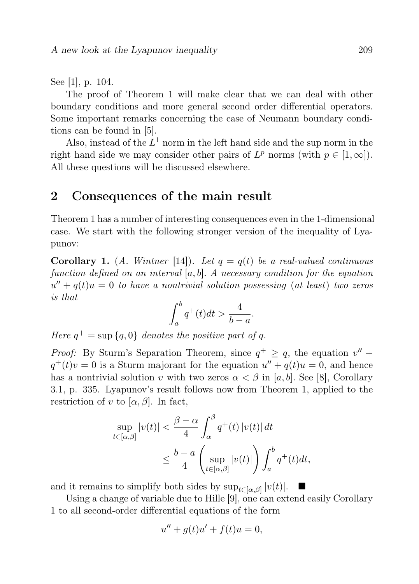See [1], p. 104.

The proof of Theorem 1 will make clear that we can deal with other boundary conditions and more general second order differential operators. Some important remarks concerning the case of Neumann boundary conditions can be found in [5].

Also, instead of the  $L^1$  norm in the left hand side and the sup norm in the right hand side we may consider other pairs of  $L^p$  norms (with  $p \in [1,\infty]$ ). All these questions will be discussed elsewhere.

#### 2 Consequences of the main result

Theorem 1 has a number of interesting consequences even in the 1-dimensional case. We start with the following stronger version of the inequality of Lyapunov:

**Corollary 1.** (A. Wintner [14]). Let  $q = q(t)$  be a real-valued continuous function defined on an interval  $[a, b]$ . A necessary condition for the equation  $u'' + q(t)u = 0$  to have a nontrivial solution possessing (at least) two zeros is that

$$
\int_a^b q^+(t)dt > \frac{4}{b-a}.
$$

Here  $q^+ = \sup \{q, 0\}$  denotes the positive part of q.

*Proof:* By Sturm's Separation Theorem, since  $q^+ \ge q$ , the equation  $v''$  +  $q^+(t)v = 0$  is a Sturm majorant for the equation  $u'' + q(t)u = 0$ , and hence has a nontrivial solution v with two zeros  $\alpha < \beta$  in [a, b]. See [8], Corollary 3.1, p. 335. Lyapunov's result follows now from Theorem 1, applied to the restriction of v to  $[\alpha, \beta]$ . In fact,

$$
\sup_{t \in [\alpha, \beta]} |v(t)| < \frac{\beta - \alpha}{4} \int_{\alpha}^{\beta} q^+(t) |v(t)| \, dt
$$
\n
$$
\leq \frac{b - a}{4} \left( \sup_{t \in [\alpha, \beta]} |v(t)| \right) \int_a^b q^+(t) \, dt,
$$

and it remains to simplify both sides by  $\sup_{t\in[\alpha,\beta]}|v(t)|$ .  $\blacksquare$ 

Using a change of variable due to Hille [9], one can extend easily Corollary 1 to all second-order differential equations of the form

$$
u'' + g(t)u' + f(t)u = 0,
$$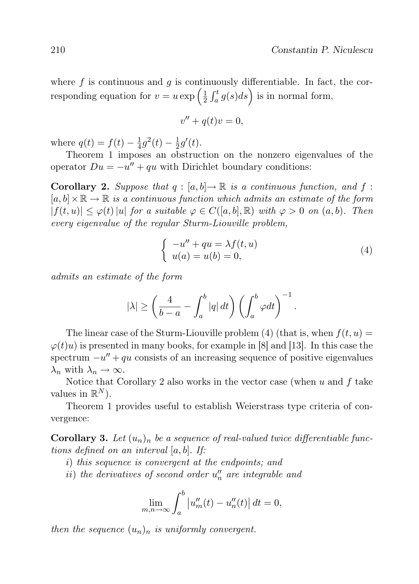where  $f$  is continuous and  $g$  is continuously differentiable. In fact, the corresponding equation for  $v = u \exp\left(\frac{1}{2}\right)$  $\frac{1}{2} \int_a^t g(s) ds$  is in normal form,

$$
v'' + q(t)v = 0,
$$

where  $q(t) = f(t) - \frac{1}{4}$  $\frac{1}{4}g^2(t) - \frac{1}{2}$  $\frac{1}{2}g'(t)$ .

Theorem 1 imposes an obstruction on the nonzero eigenvalues of the operator  $Du = -u'' + qu$  with Dirichlet boundary conditions:

**Corollary 2.** Suppose that  $q : [a, b] \to \mathbb{R}$  is a continuous function, and f:  $[a, b] \times \mathbb{R} \to \mathbb{R}$  is a continuous function which admits an estimate of the form  $|f(t, u)| \leq \varphi(t) |u|$  for a suitable  $\varphi \in C([a, b], \mathbb{R})$  with  $\varphi > 0$  on  $(a, b)$ . Then every eigenvalue of the regular Sturm-Liouville problem,

$$
\begin{cases}\n-u'' + qu = \lambda f(t, u) \\
u(a) = u(b) = 0,\n\end{cases}
$$
\n(4)

.

admits an estimate of the form

$$
|\lambda|\geq \left(\frac{4}{b-a}-\int_a^b|q|\,dt\right)\left(\int_a^b\varphi dt\right)^{-1}
$$

The linear case of the Sturm-Liouville problem (4) (that is, when  $f(t, u) =$  $\varphi(t)u$  is presented in many books, for example in [8] and [13]. In this case the spectrum  $-u'' + qu$  consists of an increasing sequence of positive eigenvalues  $\lambda_n$  with  $\lambda_n \to \infty$ .

Notice that Corollary 2 also works in the vector case (when  $u$  and  $f$  take values in  $\mathbb{R}^N$ ).

Theorem 1 provides useful to establish Weierstrass type criteria of convergence:

**Corollary 3.** Let  $(u_n)_n$  be a sequence of real-valued twice differentiable functions defined on an interval [a, b]. If:

- i) this sequence is convergent at the endpoints; and
- $ii)$  the derivatives of second order  $u_n''$  are integrable and

$$
\lim_{m,n \to \infty} \int_a^b \left| u_m''(t) - u_n''(t) \right| dt = 0,
$$

then the sequence  $(u_n)_n$  is uniformly convergent.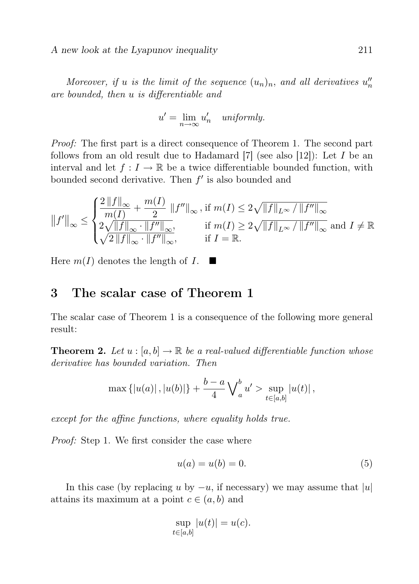A new look at the Lyapunov inequality 211

Moreover, if u is the limit of the sequence  $(u_n)_n$ , and all derivatives  $u''_n$ are bounded, then u is differentiable and

$$
u' = \lim_{n \to \infty} u'_n \quad uniformly.
$$

Proof: The first part is a direct consequence of Theorem 1. The second part follows from an old result due to Hadamard [7] (see also [12]): Let I be an interval and let  $f: I \to \mathbb{R}$  be a twice differentiable bounded function, with bounded second derivative. Then  $f'$  is also bounded and

$$
||f'||_{\infty} \le \begin{cases} \frac{2||f||_{\infty}}{m(I)} + \frac{m(I)}{2} ||f''||_{\infty}, \text{ if } m(I) \le 2\sqrt{||f||_{L^{\infty}}/||f''||_{\infty}} \\ \frac{2\sqrt{||f||_{\infty} \cdot ||f''||_{\infty}}}{\sqrt{2||f||_{\infty} \cdot ||f''||_{\infty}}}, & \text{ if } m(I) \ge 2\sqrt{||f||_{L^{\infty}}/||f''||_{\infty}} \text{ and } I \ne \mathbb{R} \end{cases}
$$

Here  $m(I)$  denotes the length of I.

## 3 The scalar case of Theorem 1

The scalar case of Theorem 1 is a consequence of the following more general result:

**Theorem 2.** Let  $u : [a, b] \to \mathbb{R}$  be a real-valued differentiable function whose derivative has bounded variation. Then

$$
\max \{|u(a)|, |u(b)|\} + \frac{b-a}{4} \bigvee_{a}^{b} u' > \sup_{t \in [a,b]} |u(t)|,
$$

except for the affine functions, where equality holds true.

Proof: Step 1. We first consider the case where

$$
u(a) = u(b) = 0.\t\t(5)
$$

In this case (by replacing u by  $-u$ , if necessary) we may assume that  $|u|$ attains its maximum at a point  $c \in (a, b)$  and

$$
\sup_{t \in [a,b]} |u(t)| = u(c).
$$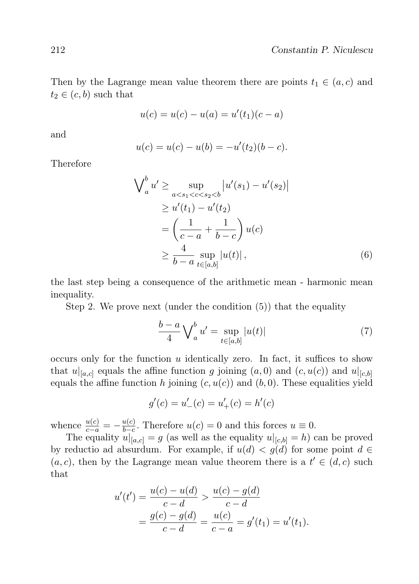Then by the Lagrange mean value theorem there are points  $t_1 \in (a, c)$  and  $t_2 \in (c, b)$  such that

$$
u(c) = u(c) - u(a) = u'(t_1)(c - a)
$$

and

$$
u(c) = u(c) - u(b) = -u'(t_2)(b - c).
$$

Therefore

$$
\begin{aligned}\n\bigvee_{a}^{b} u' &\geq \sup_{a < s_1 < c < s_2 < b} |u'(s_1) - u'(s_2)| \\
&\geq u'(t_1) - u'(t_2) \\
&= \left(\frac{1}{c - a} + \frac{1}{b - c}\right) u(c) \\
&\geq \frac{4}{b - a} \sup_{t \in [a, b]} |u(t)|,\n\end{aligned} \tag{6}
$$

the last step being a consequence of the arithmetic mean - harmonic mean inequality.

Step 2. We prove next (under the condition (5)) that the equality

$$
\frac{b-a}{4} \bigvee_{a}^{b} u' = \sup_{t \in [a,b]} |u(t)| \tag{7}
$$

occurs only for the function  $u$  identically zero. In fact, it suffices to show that  $u|_{[a,c]}$  equals the affine function g joining  $(a, 0)$  and  $(c, u(c))$  and  $u|_{[c,b]}$ equals the affine function h joining  $(c, u(c))$  and  $(b, 0)$ . These equalities yield

$$
g'(c) = u'_{-}(c) = u'_{+}(c) = h'(c)
$$

whence  $\frac{u(c)}{c-a} = -\frac{u(c)}{b-c}$  $\frac{u(c)}{b-c}$ . Therefore  $u(c) = 0$  and this forces  $u \equiv 0$ .

The equality  $u|_{[a,c]} = g$  (as well as the equality  $u|_{[c,b]} = h$ ) can be proved by reductio ad absurdum. For example, if  $u(d) < g(d)$  for some point  $d \in$  $(a, c)$ , then by the Lagrange mean value theorem there is a  $t' \in (d, c)$  such that

$$
u'(t') = \frac{u(c) - u(d)}{c - d} > \frac{u(c) - g(d)}{c - d}
$$
  
= 
$$
\frac{g(c) - g(d)}{c - d} = \frac{u(c)}{c - a} = g'(t_1) = u'(t_1).
$$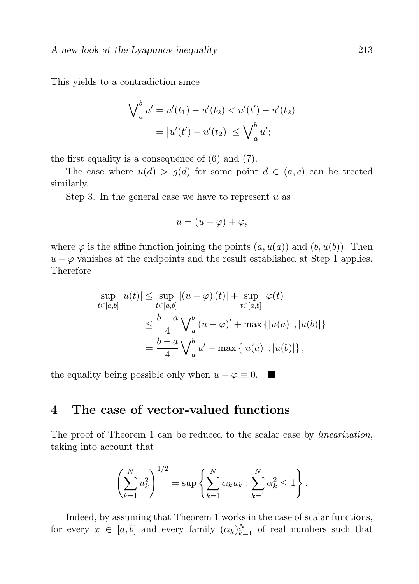This yields to a contradiction since

$$
\bigvee_{a}^{b} u' = u'(t_1) - u'(t_2) < u'(t') - u'(t_2)
$$
\n
$$
= |u'(t') - u'(t_2)| \le \bigvee_{a}^{b} u';
$$

the first equality is a consequence of (6) and (7).

The case where  $u(d) > g(d)$  for some point  $d \in (a, c)$  can be treated similarly.

Step 3. In the general case we have to represent  $u$  as

$$
u = (u - \varphi) + \varphi,
$$

where  $\varphi$  is the affine function joining the points  $(a, u(a))$  and  $(b, u(b))$ . Then  $u - \varphi$  vanishes at the endpoints and the result established at Step 1 applies. Therefore

$$
\sup_{t \in [a,b]} |u(t)| \leq \sup_{t \in [a,b]} |(u - \varphi)(t)| + \sup_{t \in [a,b]} |\varphi(t)|
$$
  

$$
\leq \frac{b - a}{4} \bigvee_{a}^{b} (u - \varphi)' + \max \{|u(a)|, |u(b)|\}
$$
  

$$
= \frac{b - a}{4} \bigvee_{a}^{b} u' + \max \{|u(a)|, |u(b)|\},
$$

the equality being possible only when  $u - \varphi \equiv 0$ .  $\blacksquare$ 

## 4 The case of vector-valued functions

The proof of Theorem 1 can be reduced to the scalar case by *linearization*, taking into account that

$$
\left(\sum_{k=1}^{N} u_k^2\right)^{1/2} = \sup \left\{\sum_{k=1}^{N} \alpha_k u_k : \sum_{k=1}^{N} \alpha_k^2 \le 1\right\}.
$$

Indeed, by assuming that Theorem 1 works in the case of scalar functions, for every  $x \in [a, b]$  and every family  $(\alpha_k)_{k=1}^N$  of real numbers such that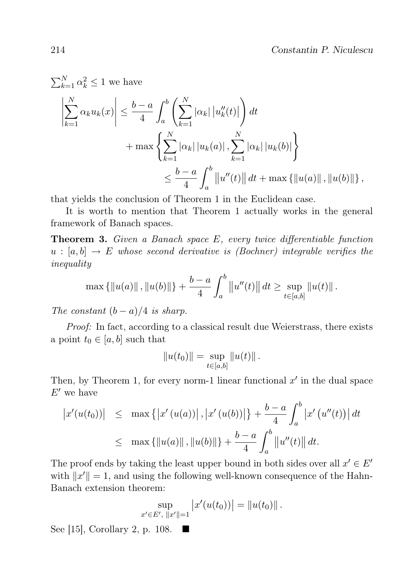$$
\sum_{k=1}^{N} \alpha_k^2 \le 1 \text{ we have}
$$
\n
$$
\left| \sum_{k=1}^{N} \alpha_k u_k(x) \right| \le \frac{b-a}{4} \int_a^b \left( \sum_{k=1}^{N} |\alpha_k| |u''_k(t)| \right) dt
$$
\n
$$
+ \max \left\{ \sum_{k=1}^{N} |\alpha_k| |u_k(a)| , \sum_{k=1}^{N} |\alpha_k| |u_k(b)| \right\}
$$
\n
$$
\le \frac{b-a}{4} \int_a^b \|u''(t)\| dt + \max \{ ||u(a)||, ||u(b)|| \},
$$

that yields the conclusion of Theorem 1 in the Euclidean case.

It is worth to mention that Theorem 1 actually works in the general framework of Banach spaces.

**Theorem 3.** Given a Banach space  $E$ , every twice differentiable function  $u : [a, b] \rightarrow E$  whose second derivative is (Bochner) integrable verifies the inequality

$$
\max \{ ||u(a)||, ||u(b)|| \} + \frac{b-a}{4} \int_a^b ||u''(t)|| dt \ge \sup_{t \in [a,b]} ||u(t)||.
$$

The constant  $(b - a)/4$  is sharp.

Proof: In fact, according to a classical result due Weierstrass, there exists a point  $t_0 \in [a, b]$  such that

$$
||u(t_0)|| = \sup_{t \in [a,b]} ||u(t)||.
$$

Then, by Theorem 1, for every norm-1 linear functional  $x'$  in the dual space  $E'$  we have

$$
\begin{aligned} \left| x'(u(t_0)) \right| &\leq & \max \left\{ \left| x'(u(a)) \right|, \left| x'(u(b)) \right| \right\} + \frac{b-a}{4} \int_a^b \left| x'(u''(t)) \right| dt \\ &\leq & \max \left\{ \left\| u(a) \right\|, \left\| u(b) \right\| \right\} + \frac{b-a}{4} \int_a^b \left\| u''(t) \right\| dt. \end{aligned}
$$

The proof ends by taking the least upper bound in both sides over all  $x' \in E'$ with  $||x'|| = 1$ , and using the following well-known consequence of the Hahn-Banach extension theorem:

$$
\sup_{x' \in E', \|x'\|=1} |x'(u(t_0))| = \|u(t_0)\|.
$$

See [15], Corollary 2, p. 108.  $\blacksquare$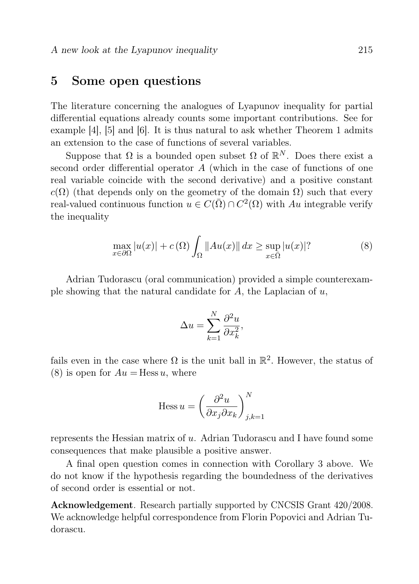#### 5 Some open questions

The literature concerning the analogues of Lyapunov inequality for partial differential equations already counts some important contributions. See for example [4], [5] and [6]. It is thus natural to ask whether Theorem 1 admits an extension to the case of functions of several variables.

Suppose that  $\Omega$  is a bounded open subset  $\Omega$  of  $\mathbb{R}^N$ . Does there exist a second order differential operator A (which in the case of functions of one real variable coincide with the second derivative) and a positive constant  $c(\Omega)$  (that depends only on the geometry of the domain  $\Omega$ ) such that every real-valued continuous function  $u \in C(\overline{\Omega}) \cap C^2(\Omega)$  with Au integrable verify the inequality

$$
\max_{x \in \partial \Omega} |u(x)| + c(\Omega) \int_{\Omega} ||Au(x)|| dx \ge \sup_{x \in \overline{\Omega}} |u(x)|^2 \tag{8}
$$

Adrian Tudorascu (oral communication) provided a simple counterexample showing that the natural candidate for  $A$ , the Laplacian of  $u$ ,

$$
\Delta u = \sum_{k=1}^{N} \frac{\partial^2 u}{\partial x_k^2},
$$

fails even in the case where  $\Omega$  is the unit ball in  $\mathbb{R}^2$ . However, the status of (8) is open for  $Au =$  Hess u, where

$$
\mathrm{Hess}\, u = \left(\frac{\partial^2 u}{\partial x_j \partial x_k}\right)_{j,k=1}^N
$$

represents the Hessian matrix of u. Adrian Tudorascu and I have found some consequences that make plausible a positive answer.

A final open question comes in connection with Corollary 3 above. We do not know if the hypothesis regarding the boundedness of the derivatives of second order is essential or not.

Acknowledgement. Research partially supported by CNCSIS Grant 420/2008. We acknowledge helpful correspondence from Florin Popovici and Adrian Tudorascu.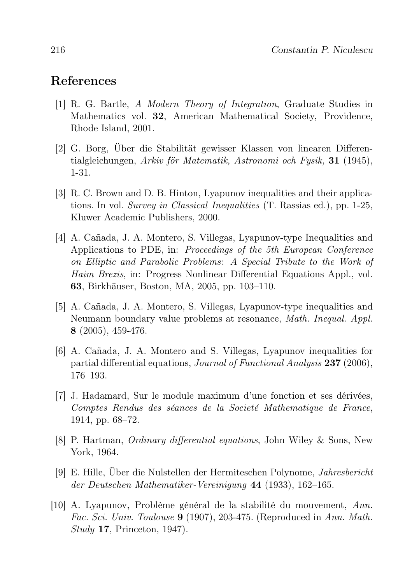#### References

- [1] R. G. Bartle, A Modern Theory of Integration, Graduate Studies in Mathematics vol. 32, American Mathematical Society, Providence, Rhode Island, 2001.
- [2] G. Borg, Über die Stabilität gewisser Klassen von linearen Differentialgleichungen, Arkiv för Matematik, Astronomi och Fysik, 31 (1945), 1-31.
- [3] R. C. Brown and D. B. Hinton, Lyapunov inequalities and their applications. In vol. Survey in Classical Inequalities (T. Rassias ed.), pp. 1-25, Kluwer Academic Publishers, 2000.
- [4] A. Cañada, J. A. Montero, S. Villegas, Lyapunov-type Inequalities and Applications to PDE, in: Proceedings of the 5th European Conference on Elliptic and Parabolic Problems: A Special Tribute to the Work of Haim Brezis, in: Progress Nonlinear Differential Equations Appl., vol. 63, Birkhäuser, Boston, MA, 2005, pp. 103–110.
- [5] A. Cañada, J. A. Montero, S. Villegas, Lyapunov-type inequalities and Neumann boundary value problems at resonance, Math. Inequal. Appl. 8 (2005), 459-476.
- [6] A. Cañada, J. A. Montero and S. Villegas, Lyapunov inequalities for partial differential equations, Journal of Functional Analysis 237 (2006), 176–193.
- [7] J. Hadamard, Sur le module maximum d'une fonction et ses dérivées, Comptes Rendus des séances de la Societé Mathematique de France, 1914, pp. 68–72.
- [8] P. Hartman, Ordinary differential equations, John Wiley & Sons, New York, 1964.
- [9] E. Hille, Über die Nulstellen der Hermiteschen Polynome, Jahresbericht der Deutschen Mathematiker-Vereinigung 44 (1933), 162–165.
- [10] A. Lyapunov, Problème général de la stabilité du mouvement, Ann. Fac. Sci. Univ. Toulouse 9 (1907), 203-475. (Reproduced in Ann. Math.  $Study$  17, Princeton, 1947).